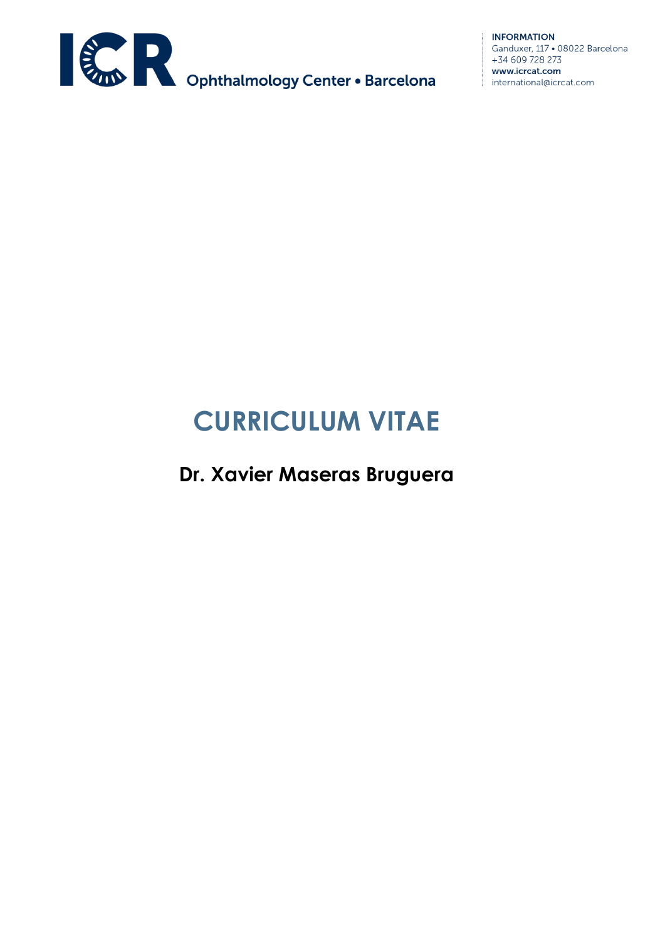

**INFORMATION** Ganduxer, 117 · 08022 Barcelona +34 609 728 273 www.icrcat.com international@icrcat.com

# **CURRICULUM VITAE**

**Dr. Xavier Maseras Bruguera**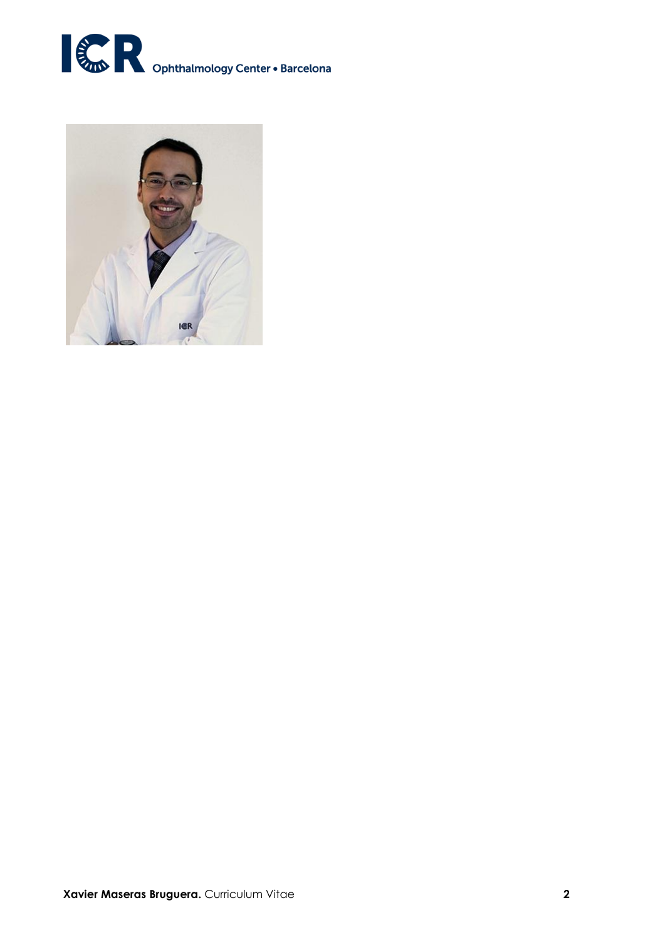

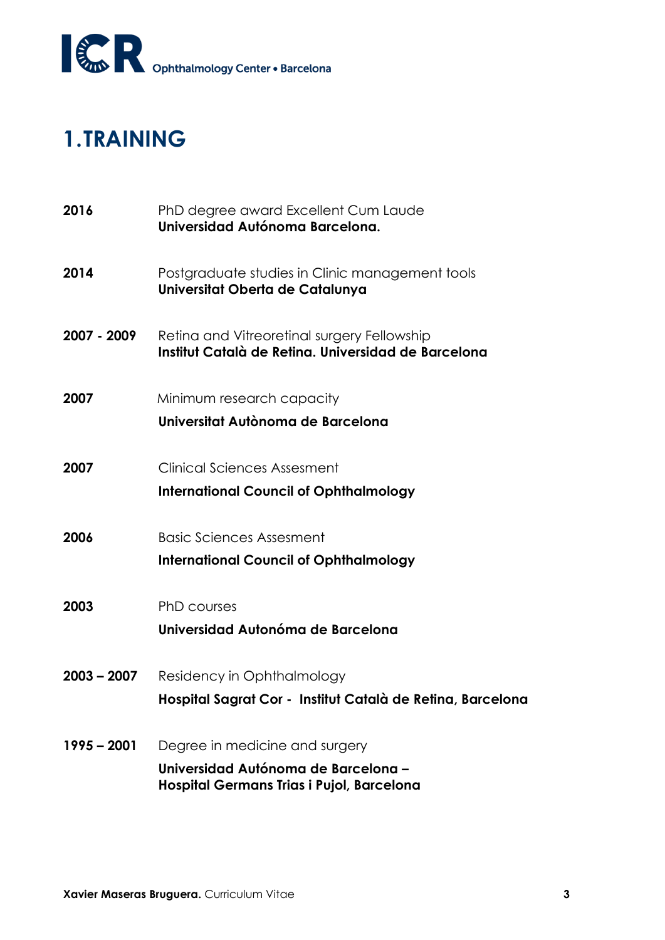

## **1.TRAINING**

|               | Universidad Autónoma de Barcelona -<br>Hospital Germans Trias i Pujol, Barcelona                   |
|---------------|----------------------------------------------------------------------------------------------------|
| $1995 - 2001$ | Degree in medicine and surgery                                                                     |
|               | Hospital Sagrat Cor - Institut Català de Retina, Barcelona                                         |
| $2003 - 2007$ | Residency in Ophthalmology                                                                         |
|               | Universidad Autonóma de Barcelona                                                                  |
| 2003          | PhD courses                                                                                        |
|               | <b>International Council of Ophthalmology</b>                                                      |
| 2006          | <b>Basic Sciences Assesment</b>                                                                    |
|               | <b>International Council of Ophthalmology</b>                                                      |
| 2007          | <b>Clinical Sciences Assesment</b>                                                                 |
|               | Universitat Autònoma de Barcelona                                                                  |
| 2007          | Minimum research capacity                                                                          |
| 2007 - 2009   | Retina and Vitreoretinal surgery Fellowship<br>Institut Català de Retina. Universidad de Barcelona |
| 2014          | Postgraduate studies in Clinic management tools<br>Universitat Oberta de Catalunya                 |
| 2016          | PhD degree award Excellent Cum Laude<br>Universidad Autónoma Barcelona.                            |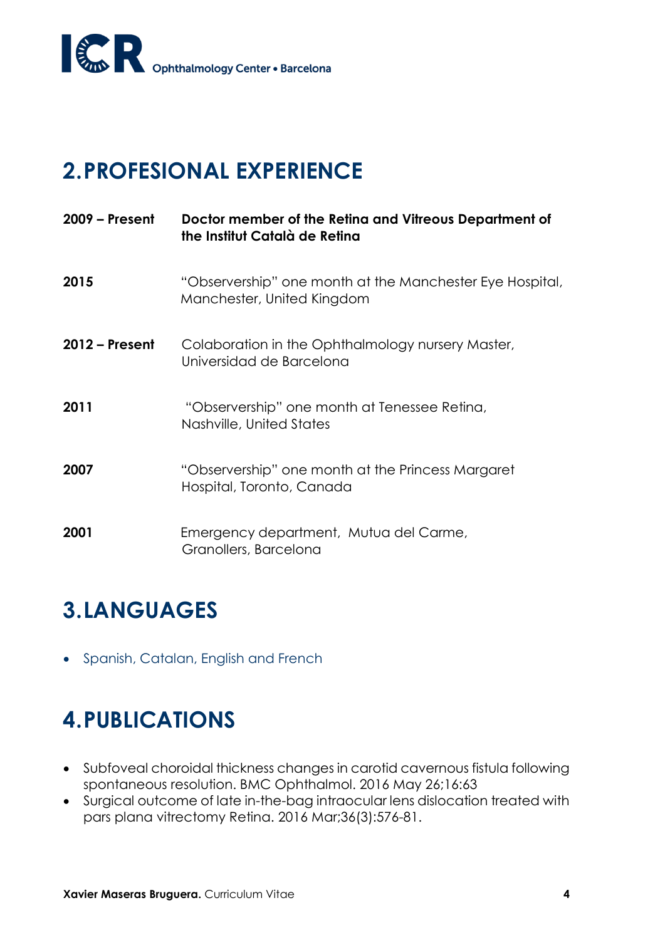

### **2.PROFESIONAL EXPERIENCE**

| $2009 - Present$ | Doctor member of the Retina and Vitreous Department of<br>the Institut Català de Retina |
|------------------|-----------------------------------------------------------------------------------------|
| 2015             | "Observership" one month at the Manchester Eye Hospital,<br>Manchester, United Kingdom  |
| $2012 - Present$ | Colaboration in the Ophthalmology nursery Master,<br>Universidad de Barcelona           |
| 2011             | "Observership" one month at Tenessee Retina,<br>Nashville, United States                |
| 2007             | "Observership" one month at the Princess Margaret<br>Hospital, Toronto, Canada          |
| 2001             | Emergency department, Mutua del Carme,<br>Granollers, Barcelona                         |

#### **3.LANGUAGES**

• Spanish, Catalan, English and French

## **4.PUBLICATIONS**

- Subfoveal choroidal thickness changes in carotid cavernous fistula following spontaneous resolution. BMC Ophthalmol. 2016 May 26;16:63
- Surgical outcome of late in-the-bag intraocular lens dislocation treated with pars plana vitrectomy Retina. 2016 Mar;36(3):576-81.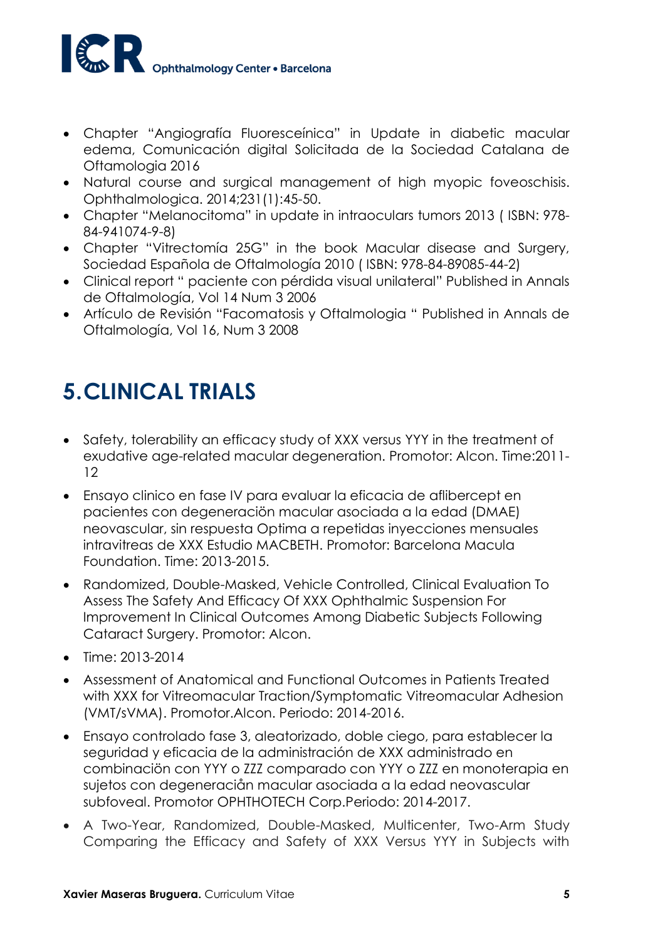

- Chapter "Angiografía Fluoresceínica" in Update in diabetic macular edema, Comunicación digital Solicitada de la Sociedad Catalana de Oftamologia 2016
- Natural course and surgical management of high myopic foveoschisis. Ophthalmologica. 2014;231(1):45-50.
- Chapter "Melanocitoma" in update in intraoculars tumors 2013 ( ISBN: 978- 84-941074-9-8)
- Chapter "Vitrectomía 25G" in the book Macular disease and Surgery, Sociedad Española de Oftalmología 2010 ( ISBN: 978-84-89085-44-2)
- Clinical report " paciente con pérdida visual unilateral" Published in Annals de Oftalmología, Vol 14 Num 3 2006
- Artículo de Revisión "Facomatosis y Oftalmologia " Published in Annals de Oftalmología, Vol 16, Num 3 2008

## **5.CLINICAL TRIALS**

- Safety, tolerability an efficacy study of XXX versus YYY in the treatment of exudative age-related macular degeneration. Promotor: Alcon. Time:2011- 12
- Ensayo clinico en fase IV para evaluar la eficacia de aflibercept en pacientes con degeneraciön macular asociada a la edad (DMAE) neovascular, sin respuesta Optima a repetidas inyecciones mensuales intravitreas de XXX Estudio MACBETH. Promotor: Barcelona Macula Foundation. Time: 2013-2015.
- Randomized, Double-Masked, Vehicle Controlled, Clinical Evaluation To Assess The Safety And Efficacy Of XXX Ophthalmic Suspension For Improvement In Clinical Outcomes Among Diabetic Subjects Following Cataract Surgery. Promotor: Alcon.
- Time: 2013-2014
- Assessment of Anatomical and Functional Outcomes in Patients Treated with XXX for Vitreomacular Traction/Symptomatic Vitreomacular Adhesion (VMT/sVMA). Promotor.Alcon. Periodo: 2014-2016.
- Ensayo controlado fase 3, aleatorizado, doble ciego, para establecer la seguridad y eficacia de la administración de XXX administrado en combinaciön con YYY o ZZZ comparado con YYY o ZZZ en monoterapia en sujetos con degeneraciån macular asociada a la edad neovascular subfoveal. Promotor OPHTHOTECH Corp.Periodo: 2014-2017.
- A Two-Year, Randomized, Double-Masked, Multicenter, Two-Arm Study Comparing the Efficacy and Safety of XXX Versus YYY in Subjects with